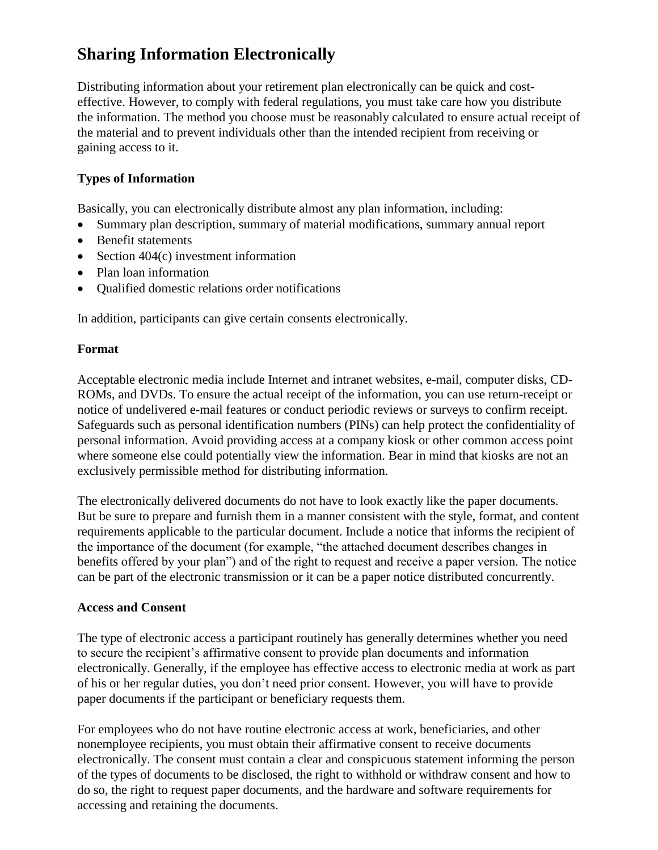## **Sharing Information Electronically**

Distributing information about your retirement plan electronically can be quick and costeffective. However, to comply with federal regulations, you must take care how you distribute the information. The method you choose must be reasonably calculated to ensure actual receipt of the material and to prevent individuals other than the intended recipient from receiving or gaining access to it.

## **Types of Information**

Basically, you can electronically distribute almost any plan information, including:

- Summary plan description, summary of material modifications, summary annual report
- Benefit statements
- Section 404(c) investment information
- Plan loan information
- Qualified domestic relations order notifications

In addition, participants can give certain consents electronically.

## **Format**

Acceptable electronic media include Internet and intranet websites, e-mail, computer disks, CD-ROMs, and DVDs. To ensure the actual receipt of the information, you can use return-receipt or notice of undelivered e-mail features or conduct periodic reviews or surveys to confirm receipt. Safeguards such as personal identification numbers (PINs) can help protect the confidentiality of personal information. Avoid providing access at a company kiosk or other common access point where someone else could potentially view the information. Bear in mind that kiosks are not an exclusively permissible method for distributing information.

The electronically delivered documents do not have to look exactly like the paper documents. But be sure to prepare and furnish them in a manner consistent with the style, format, and content requirements applicable to the particular document. Include a notice that informs the recipient of the importance of the document (for example, "the attached document describes changes in benefits offered by your plan") and of the right to request and receive a paper version. The notice can be part of the electronic transmission or it can be a paper notice distributed concurrently.

## **Access and Consent**

The type of electronic access a participant routinely has generally determines whether you need to secure the recipient's affirmative consent to provide plan documents and information electronically. Generally, if the employee has effective access to electronic media at work as part of his or her regular duties, you don't need prior consent. However, you will have to provide paper documents if the participant or beneficiary requests them.

For employees who do not have routine electronic access at work, beneficiaries, and other nonemployee recipients, you must obtain their affirmative consent to receive documents electronically. The consent must contain a clear and conspicuous statement informing the person of the types of documents to be disclosed, the right to withhold or withdraw consent and how to do so, the right to request paper documents, and the hardware and software requirements for accessing and retaining the documents.